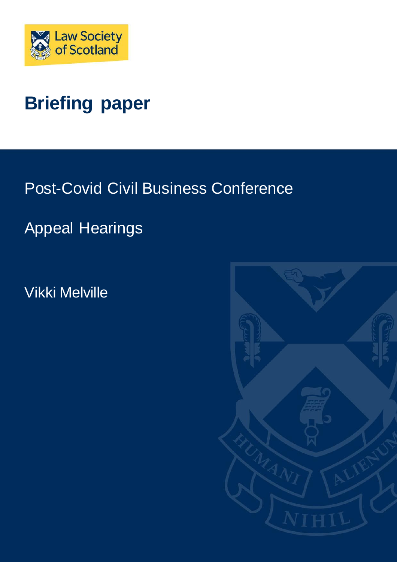

# **Briefing paper**

Post-Covid Civil Business Conference

Appeal Hearings

Vikki Melville

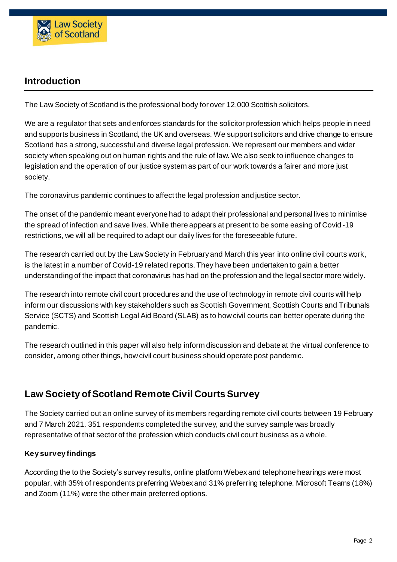

## **Introduction**

The Law Society of Scotland is the professional body for over 12,000 Scottish solicitors.

We are a regulator that sets and enforces standards for the solicitor profession which helps people in need and supports business in Scotland, the UK and overseas. We support solicitors and drive change to ensure Scotland has a strong, successful and diverse legal profession. We represent our members and wider society when speaking out on human rights and the rule of law. We also seek to influence changes to legislation and the operation of our justice system as part of our work towards a fairer and more just society.

The coronavirus pandemic continues to affect the legal profession and justice sector.

The onset of the pandemic meant everyone had to adapt their professional and personal lives to minimise the spread of infection and save lives. While there appears at present to be some easing of Covid -19 restrictions, we will all be required to adapt our daily lives for the foreseeable future.

The research carried out by the Law Society in February and March this year into online civil courts work, is the latest in a number of Covid-19 related reports. They have been undertaken to gain a better understanding of the impact that coronavirus has had on the profession and the legal sector more widely.

The research into remote civil court procedures and the use of technology in remote civil courts will help inform our discussions with key stakeholders such as Scottish Government, Scottish Courts and Tribunals Service (SCTS) and Scottish Legal Aid Board (SLAB) as to how civil courts can better operate during the pandemic.

The research outlined in this paper will also help inform discussion and debate at the virtual conference to consider, among other things, how civil court business should operate post pandemic.

## **Law Society of Scotland Remote Civil Courts Survey**

The Society carried out an online survey of its members regarding remote civil courts between 19 February and 7 March 2021. 351 respondents completed the survey, and the survey sample was broadly representative of that sector of the profession which conducts civil court business as a whole.

## **Key survey findings**

According the to the Society's survey results, online platform Webex and telephone hearings were most popular, with 35% of respondents preferring Webex and 31% preferring telephone. Microsoft Teams (18%) and Zoom (11%) were the other main preferred options.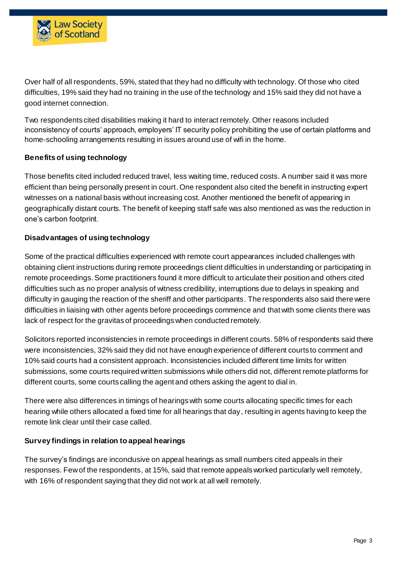

Over half of all respondents, 59%, stated that they had no difficulty with technology. Of those who cited difficulties, 19% said they had no training in the use of the technology and 15% said they did not have a good internet connection.

Two respondents cited disabilities making it hard to interact remotely. Other reasons included inconsistency of courts' approach, employers' IT security policy prohibiting the use of certain platforms and home-schooling arrangements resulting in issues around use of wifi in the home.

## **Benefits of using technology**

Those benefits cited included reduced travel, less waiting time, reduced costs. A number said it was more efficient than being personally present in court. One respondent also cited the benefit in instructing expert witnesses on a national basis without increasing cost. Another mentioned the benefit of appearing in geographically distant courts. The benefit of keeping staff safe was also mentioned as was the reduction in one's carbon footprint.

## **Disadvantages of using technology**

Some of the practical difficulties experienced with remote court appearances included challenges with obtaining client instructions during remote proceedings client difficulties in understanding or participating in remote proceedings. Some practitioners found it more difficult to articulate their position and others cited difficulties such as no proper analysis of witness credibility, interruptions due to delays in speaking and difficulty in gauging the reaction of the sheriff and other participants. The respondents also said there were difficulties in liaising with other agents before proceedings commence and that with some clients there was lack of respect for the gravitas of proceedings when conducted remotely.

Solicitors reported inconsistencies in remote proceedings in different courts. 58% of respondents said there were inconsistencies, 32% said they did not have enough experience of different courts to comment and 10% said courts had a consistent approach. Inconsistencies included different time limits for written submissions, some courts required written submissions while others did not, different remote platforms for different courts, some courts calling the agent and others asking the agent to dial in.

There were also differences in timings of hearings with some courts allocating specific times for each hearing while others allocated a fixed time for all hearings that day, resulting in agents having to keep the remote link clear until their case called.

## **Survey findings in relation to appeal hearings**

The survey's findings are incondusive on appeal hearings as small numbers cited appeals in their responses. Few of the respondents, at 15%, said that remote appeals worked particularly well remotely, with 16% of respondent saying that they did not work at all well remotely.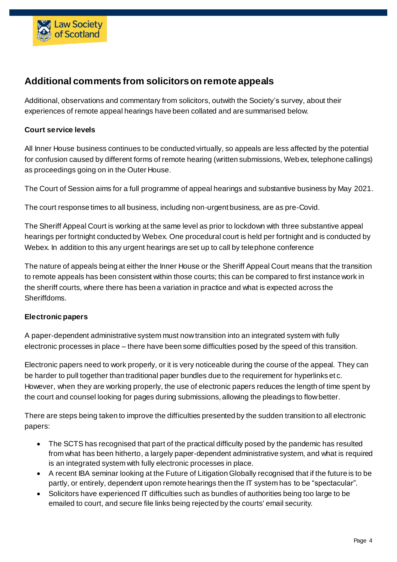

## **Additional comments from solicitorson remote appeals**

Additional, observations and commentary from solicitors, outwith the Society's survey, about their experiences of remote appeal hearings have been collated and are summarised below.

## **Court service levels**

All Inner House business continues to be conducted virtually, so appeals are less affected by the potential for confusion caused by different forms of remote hearing (written submissions, Webex, telephone callings) as proceedings going on in the Outer House.

The Court of Session aims for a full programme of appeal hearings and substantive business by May 2021.

The court response times to all business, including non-urgent business, are as pre-Covid.

The Sheriff Appeal Court is working at the same level as prior to lockdown with three substantive appeal hearings per fortnight conducted by Webex. One procedural court is held per fortnight and is conducted by Webex. In addition to this any urgent hearings are set up to call by telephone conference

The nature of appeals being at either the Inner House or the Sheriff Appeal Court means that the transition to remote appeals has been consistent within those courts; this can be compared to first instance work in the sheriff courts, where there has been a variation in practice and what is expected across the Sheriffdoms.

## **Electronic papers**

A paper-dependent administrative system must now transition into an integrated system with fully electronic processes in place – there have been some difficulties posed by the speed of this transition.

Electronic papers need to work properly, or it is very noticeable during the course of the appeal. They can be harder to pull together than traditional paper bundles due to the requirement for hyperlinks et c. However, when they are working properly, the use of electronic papers reduces the length of time spent by the court and counsel looking for pages during submissions, allowing the pleadings to flow better.

There are steps being taken to improve the difficulties presented by the sudden transition to all electronic papers:

- The SCTS has recognised that part of the practical difficulty posed by the pandemic has resulted from what has been hitherto, a largely paper-dependent administrative system, and what is required is an integrated system with fully electronic processes in place.
- A recent IBA seminar looking at the Future of Litigation Globally recognised that if the future is to be partly, or entirely, dependent upon remote hearings then the IT system has to be "spectacular".
- Solicitors have experienced IT difficulties such as bundles of authorities being too large to be emailed to court, and secure file links being rejected by the courts' email security.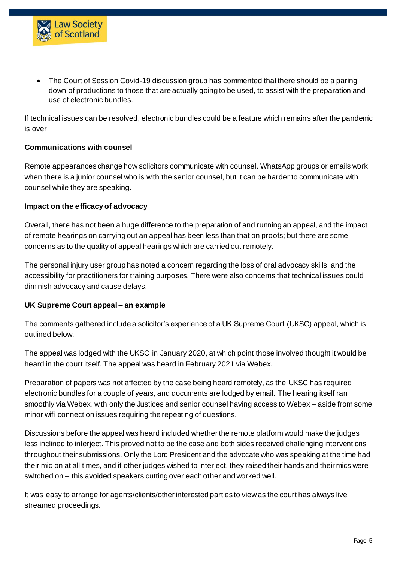

 The Court of Session Covid-19 discussion group has commented that there should be a paring down of productions to those that are actually going to be used, to assist with the preparation and use of electronic bundles.

If technical issues can be resolved, electronic bundles could be a feature which remains after the pandemic is over.

#### **Communications with counsel**

Remote appearances change how solicitors communicate with counsel. WhatsApp groups or emails work when there is a junior counsel who is with the senior counsel, but it can be harder to communicate with counsel while they are speaking.

#### **Impact on the efficacy of advocacy**

Overall, there has not been a huge difference to the preparation of and running an appeal, and the impact of remote hearings on carrying out an appeal has been less than that on proofs; but there are some concerns as to the quality of appeal hearings which are carried out remotely.

The personal injury user group has noted a concern regarding the loss of oral advocacy skills, and the accessibility for practitioners for training purposes. There were also concerns that technical issues could diminish advocacy and cause delays.

#### **UK Supreme Court appeal – an example**

The comments gathered include a solicitor's experience of a UK Supreme Court (UKSC) appeal, which is outlined below.

The appeal was lodged with the UKSC in January 2020, at which point those involved thought it would be heard in the court itself. The appeal was heard in February 2021 via Webex.

Preparation of papers was not affected by the case being heard remotely, as the UKSC has required electronic bundles for a couple of years, and documents are lodged by email. The hearing itself ran smoothly via Webex, with only the Justices and senior counsel having access to Webex – aside from some minor wifi connection issues requiring the repeating of questions.

Discussions before the appeal was heard included whether the remote platform would make the judges less inclined to interject. This proved not to be the case and both sides received challenging interventions throughout their submissions. Only the Lord President and the advocate who was speaking at the time had their mic on at all times, and if other judges wished to interject, they raised their hands and their mics were switched on – this avoided speakers cutting over each other and worked well.

It was easy to arrange for agents/clients/other interested parties to view as the court has always live streamed proceedings.